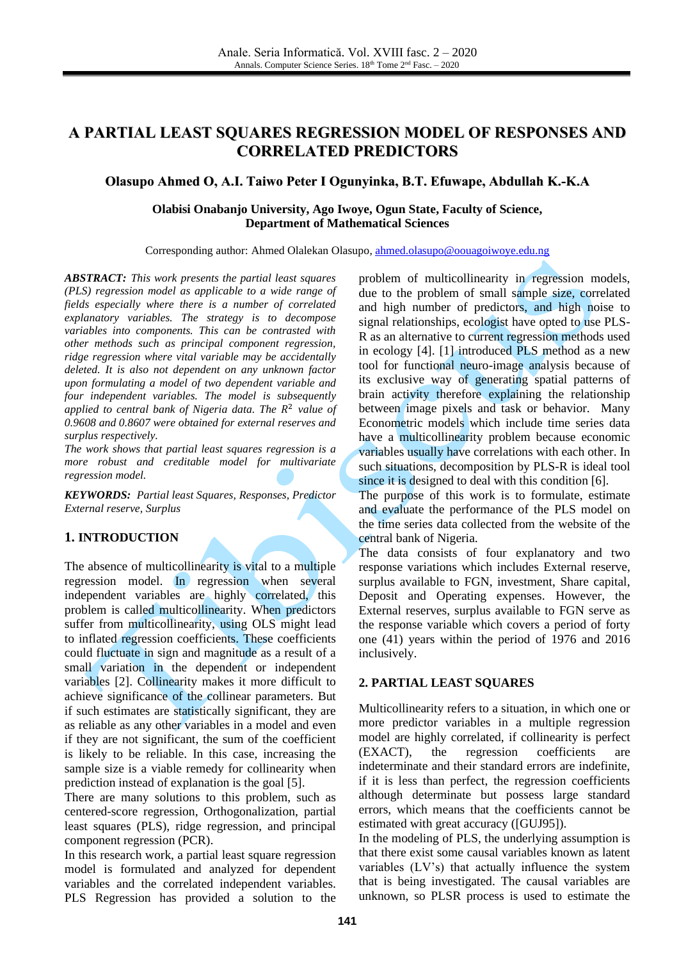# **A PARTIAL LEAST SQUARES REGRESSION MODEL OF RESPONSES AND CORRELATED PREDICTORS**

# **Olasupo Ahmed O, A.I. Taiwo Peter I Ogunyinka, B.T. Efuwape, Abdullah K.-K.A**

#### **Olabisi Onabanjo University, Ago Iwoye, Ogun State, Faculty of Science, Department of Mathematical Sciences**

Corresponding author: Ahmed Olalekan Olasupo, [ahmed.olasupo@oouagoiwoye.edu.ng](mailto:ahmed.olasupo@oouagoiwoye.edu.ng)

*ABSTRACT: This work presents the partial least squares (PLS) regression model as applicable to a wide range of fields especially where there is a number of correlated explanatory variables. The strategy is to decompose variables into components. This can be contrasted with other methods such as principal component regression, ridge regression where vital variable may be accidentally deleted. It is also not dependent on any unknown factor upon formulating a model of two dependent variable and four independent variables. The model is subsequently*  applied to central bank of Nigeria data. The R<sup>2</sup> value of *0.9608 and 0.8607 were obtained for external reserves and surplus respectively.*

*The work shows that partial least squares regression is a more robust and creditable model for multivariate regression model.*

*KEYWORDS: Partial least Squares, Responses, Predictor External reserve, Surplus*

# **1. INTRODUCTION**

The absence of multicollinearity is vital to a multiple regression model. In regression when several independent variables are highly correlated, this problem is called multicollinearity. When predictors suffer from multicollinearity, using OLS might lead to inflated regression coefficients. These coefficients could fluctuate in sign and magnitude as a result of a small variation in the dependent or independent variables [\[2\].](#page-2-0) Collinearity makes it more difficult to achieve significance of the collinear parameters. But if such estimates are statistically significant, they are as reliable as any other variables in a model and even if they are not significant, the sum of the coefficient is likely to be reliable. In this case, increasing the sample size is a viable remedy for collinearity when prediction instead of explanation is the goal [\[5\].](#page-2-1)

There are many solutions to this problem, such as centered-score regression, Orthogonalization, partial least squares (PLS), ridge regression, and principal component regression (PCR).

In this research work, a partial least square regression model is formulated and analyzed for dependent variables and the correlated independent variables. PLS Regression has provided a solution to the problem of multicollinearity in regression models, due to the problem of small sample size, correlated and high number of predictors, and high noise to signal relationships, ecologist have opted to use PLS-R as an alternative to current regression methods used in ecology [\[4\].](#page-2-2) [\[1\]](#page-2-3) introduced PLS method as a new tool for functional neuro-image analysis because of its exclusive way of generating spatial patterns of brain activity therefore explaining the relationship between image pixels and task or behavior. Many Econometric models which include time series data have a multicollinearity problem because economic variables usually have correlations with each other. In such situations, decomposition by PLS-R is ideal tool since it is designed to deal with this condition [\[6\].](#page-2-4)

The purpose of this work is to formulate, estimate and evaluate the performance of the PLS model on the time series data collected from the website of the central bank of Nigeria.

The data consists of four explanatory and two response variations which includes External reserve, surplus available to FGN, investment, Share capital, Deposit and Operating expenses. However, the External reserves, surplus available to FGN serve as the response variable which covers a period of forty one (41) years within the period of 1976 and 2016 inclusively.

#### **2. PARTIAL LEAST SQUARES**

Multicollinearity refers to a situation, in which one or more predictor variables in a multiple regression model are highly correlated, if collinearity is perfect (EXACT), the regression coefficients are indeterminate and their standard errors are indefinite, if it is less than perfect, the regression coefficients although determinate but possess large standard errors, which means that the coefficients cannot be estimated with great accuracy ([GUJ95]).

In the modeling of PLS, the underlying assumption is that there exist some causal variables known as latent variables (LV's) that actually influence the system that is being investigated. The causal variables are unknown, so PLSR process is used to estimate the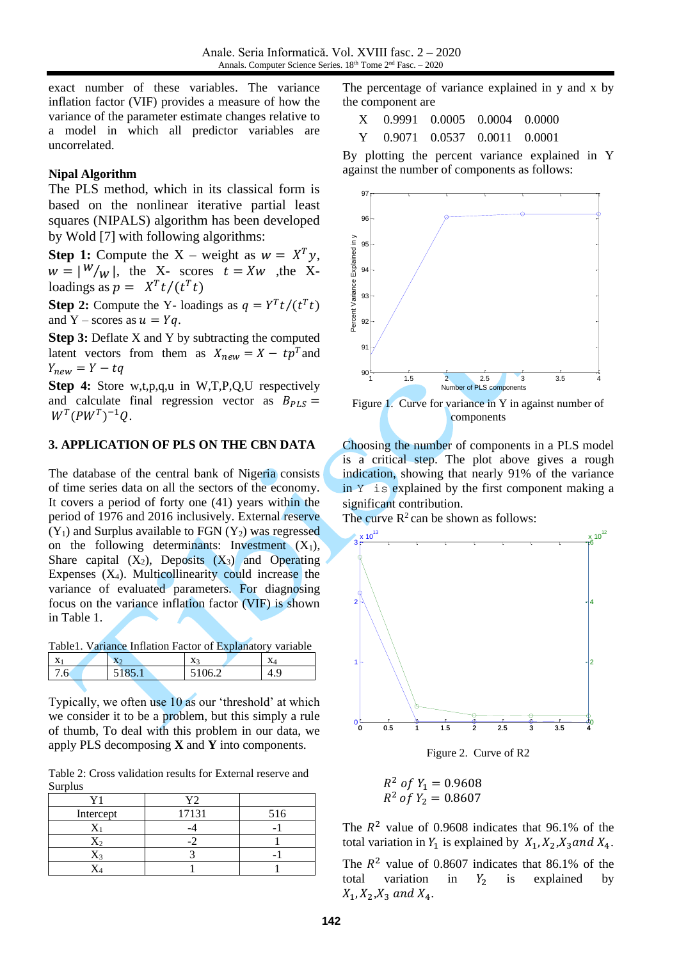exact number of these variables. The variance inflation factor (VIF) provides a measure of how the variance of the parameter estimate changes relative to a model in which all predictor variables are uncorrelated.

# **Nipal Algorithm**

The PLS method, which in its classical form is based on the nonlinear iterative partial least squares (NIPALS) algorithm has been developed by Wold [\[7\]](#page-2-5) with following algorithms:

**Step 1:** Compute the X – weight as  $w = X^T y$ ,  $w = |W|_W$ , the X- scores  $t = Xw$ , the Xloadings as  $p = X^T t/(t^T t)$ 

**Step 2:** Compute the Y- loadings as  $q = Y^T t/(t^T t)$ and Y – scores as  $u = Yq$ .

**Step 3:** Deflate X and Y by subtracting the computed latent vectors from them as  $X_{new} = X - tp^T$  and  $Y_{new} = Y - tq$ 

**Step 4:** Store w,t,p,q,u in W,T,P,Q,U respectively and calculate final regression vector as  $B_{PLS} =$  $W^T(PW^T)^{-1}Q.$ 

### **3. APPLICATION OF PLS ON THE CBN DATA**

The database of the central bank of Nigeria consists of time series data on all the sectors of the economy. It covers a period of forty one (41) years within the period of 1976 and 2016 inclusively. External reserve  $(Y_1)$  and Surplus available to FGN  $(Y_2)$  was regressed on the following determinants: Investment  $(X_1)$ , Share capital  $(X_2)$ , Deposits  $(X_3)$  and Operating Expenses  $(X_4)$ . Multicollinearity could increase the variance of evaluated parameters. For diagnosing focus on the variance inflation factor (VIF) is shown in Table 1.

Table1. Variance Inflation Factor of Explanatory variable

| h<br>۰∪<br>$\sim$ $\sim$<br>1 O<br><u>.</u><br>$\cdot$ | <b>TT</b><br>$\Lambda$ | $-$<br>$\mathbf{L}$ | $\mathbf{r}$<br>A. | $\cdot$<br>$\Lambda$ |
|--------------------------------------------------------|------------------------|---------------------|--------------------|----------------------|
|                                                        |                        |                     |                    |                      |

Typically, we often use 10 as our 'threshold' at which we consider it to be a problem, but this simply a rule of thumb, To deal with this problem in our data, we apply PLS decomposing **X** and **Y** into components.

Table 2: Cross validation results for External reserve and Surplus

|           | V٦    |     |
|-----------|-------|-----|
| Intercept | 17131 | 516 |
|           |       |     |
|           |       |     |
|           |       |     |
|           |       |     |

The percentage of variance explained in y and x by the component are

| X 0.9991 0.0005 0.0004 0.0000 |  |  |
|-------------------------------|--|--|
| Y 0.9071 0.0537 0.0011 0.0001 |  |  |

By plotting the percent variance explained in Y against the number of components as follows:



Choosing the number of components in a PLS model is a critical step. The plot above gives a rough indication, showing that nearly 91% of the variance in Y is explained by the first component making a significant contribution.

The curve  $\mathbb{R}^2$  can be shown as follows:



Figure 2. Curve of R2

$$
R^2 \text{ of } Y_1 = 0.9608
$$
  

$$
R^2 \text{ of } Y_2 = 0.8607
$$

The  $R^2$  value of 0.9608 indicates that 96.1% of the total variation in  $Y_1$  is explained by  $X_1, X_2, X_3$  and  $X_4$ .

The  $R^2$  value of 0.8607 indicates that 86.1% of the total variation in  $Y_2$  is explained by  $X_1, X_2, X_3$  and  $X_4$ .